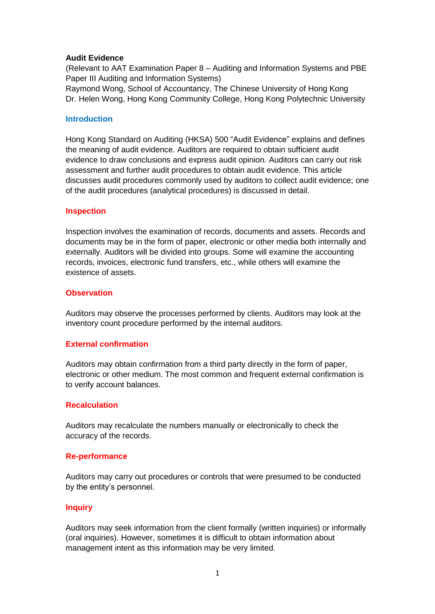## **Audit Evidence**

(Relevant to AAT Examination Paper 8 – Auditing and Information Systems and PBE Paper III Auditing and Information Systems) Raymond Wong, School of Accountancy, The Chinese University of Hong Kong

Dr. Helen Wong, Hong Kong Community College, Hong Kong Polytechnic University

#### **Introduction**

Hong Kong Standard on Auditing (HKSA) 500 "Audit Evidence" explains and defines the meaning of audit evidence. Auditors are required to obtain sufficient audit evidence to draw conclusions and express audit opinion. Auditors can carry out risk assessment and further audit procedures to obtain audit evidence. This article discusses audit procedures commonly used by auditors to collect audit evidence; one of the audit procedures (analytical procedures) is discussed in detail.

## **Inspection**

Inspection involves the examination of records, documents and assets. Records and documents may be in the form of paper, electronic or other media both internally and externally. Auditors will be divided into groups. Some will examine the accounting records, invoices, electronic fund transfers, etc., while others will examine the existence of assets.

## **Observation**

Auditors may observe the processes performed by clients. Auditors may look at the inventory count procedure performed by the internal auditors.

# **External confirmation**

Auditors may obtain confirmation from a third party directly in the form of paper, electronic or other medium. The most common and frequent external confirmation is to verify account balances.

# **Recalculation**

Auditors may recalculate the numbers manually or electronically to check the accuracy of the records.

#### **Re-performance**

Auditors may carry out procedures or controls that were presumed to be conducted by the entity's personnel.

#### **Inquiry**

Auditors may seek information from the client formally (written inquiries) or informally (oral inquiries). However, sometimes it is difficult to obtain information about management intent as this information may be very limited.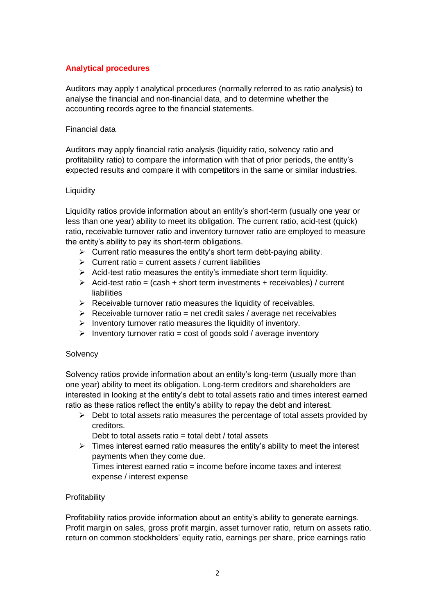# **Analytical procedures**

Auditors may apply t analytical procedures (normally referred to as ratio analysis) to analyse the financial and non-financial data, and to determine whether the accounting records agree to the financial statements.

## Financial data

Auditors may apply financial ratio analysis (liquidity ratio, solvency ratio and profitability ratio) to compare the information with that of prior periods, the entity's expected results and compare it with competitors in the same or similar industries.

## **Liquidity**

Liquidity ratios provide information about an entity's short-term (usually one year or less than one year) ability to meet its obligation. The current ratio, acid-test (quick) ratio, receivable turnover ratio and inventory turnover ratio are employed to measure the entity's ability to pay its short-term obligations.

- $\triangleright$  Current ratio measures the entity's short term debt-paying ability.
- $\triangleright$  Current ratio = current assets / current liabilities
- $\triangleright$  Acid-test ratio measures the entity's immediate short term liquidity.
- $\triangleright$  Acid-test ratio = (cash + short term investments + receivables) / current liabilities
- $\triangleright$  Receivable turnover ratio measures the liquidity of receivables.
- $\triangleright$  Receivable turnover ratio = net credit sales / average net receivables
- $\triangleright$  Inventory turnover ratio measures the liquidity of inventory.
- $\triangleright$  Inventory turnover ratio = cost of goods sold / average inventory

# **Solvency**

Solvency ratios provide information about an entity's long-term (usually more than one year) ability to meet its obligation. Long-term creditors and shareholders are interested in looking at the entity's debt to total assets ratio and times interest earned ratio as these ratios reflect the entity's ability to repay the debt and interest.

 $\triangleright$  Debt to total assets ratio measures the percentage of total assets provided by creditors.

Debt to total assets ratio  $=$  total debt / total assets

 $\triangleright$  Times interest earned ratio measures the entity's ability to meet the interest payments when they come due.

Times interest earned ratio = income before income taxes and interest expense / interest expense

# **Profitability**

Profitability ratios provide information about an entity's ability to generate earnings. Profit margin on sales, gross profit margin, asset turnover ratio, return on assets ratio, return on common stockholders' equity ratio, earnings per share, price earnings ratio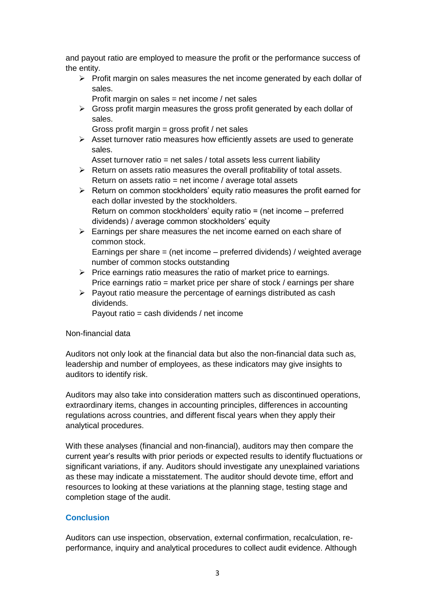and payout ratio are employed to measure the profit or the performance success of the entity.

- $\triangleright$  Profit margin on sales measures the net income generated by each dollar of sales.
	- Profit margin on sales = net income / net sales
- $\triangleright$  Gross profit margin measures the gross profit generated by each dollar of sales.
	- Gross profit margin = gross profit / net sales
- $\triangleright$  Asset turnover ratio measures how efficiently assets are used to generate sales.
	- Asset turnover ratio = net sales / total assets less current liability
- $\triangleright$  Return on assets ratio measures the overall profitability of total assets. Return on assets ratio = net income / average total assets
- $\triangleright$  Return on common stockholders' equity ratio measures the profit earned for each dollar invested by the stockholders. Return on common stockholders' equity ratio = (net income – preferred dividends) / average common stockholders' equity
- $\triangleright$  Earnings per share measures the net income earned on each share of common stock.

Earnings per share = (net income – preferred dividends) / weighted average number of common stocks outstanding

- $\triangleright$  Price earnings ratio measures the ratio of market price to earnings. Price earnings ratio = market price per share of stock / earnings per share
- $\triangleright$  Payout ratio measure the percentage of earnings distributed as cash dividends.

Payout ratio = cash dividends / net income

# Non-financial data

Auditors not only look at the financial data but also the non-financial data such as, leadership and number of employees, as these indicators may give insights to auditors to identify risk.

Auditors may also take into consideration matters such as discontinued operations, extraordinary items, changes in accounting principles, differences in accounting regulations across countries, and different fiscal years when they apply their analytical procedures.

With these analyses (financial and non-financial), auditors may then compare the current year's results with prior periods or expected results to identify fluctuations or significant variations, if any. Auditors should investigate any unexplained variations as these may indicate a misstatement. The auditor should devote time, effort and resources to looking at these variations at the planning stage, testing stage and completion stage of the audit.

# **Conclusion**

Auditors can use inspection, observation, external confirmation, recalculation, reperformance, inquiry and analytical procedures to collect audit evidence. Although